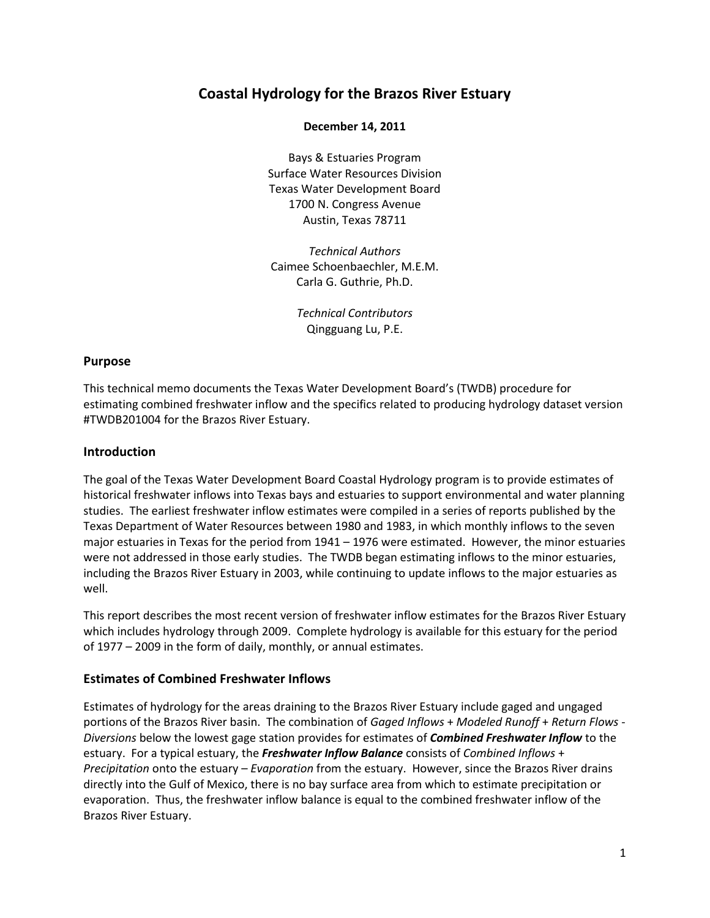# **Coastal Hydrology for the Brazos River Estuary**

#### **December 14, 2011**

Bays & Estuaries Program Surface Water Resources Division Texas Water Development Board 1700 N. Congress Avenue Austin, Texas 78711

*Technical Authors* Caimee Schoenbaechler, M.E.M. Carla G. Guthrie, Ph.D.

> *Technical Contributors* Qingguang Lu, P.E.

#### **Purpose**

This technical memo documents the Texas Water Development Board's (TWDB) procedure for estimating combined freshwater inflow and the specifics related to producing hydrology dataset version #TWDB201004 for the Brazos River Estuary.

### **Introduction**

The goal of the Texas Water Development Board Coastal Hydrology program is to provide estimates of historical freshwater inflows into Texas bays and estuaries to support environmental and water planning studies. The earliest freshwater inflow estimates were compiled in a series of reports published by the Texas Department of Water Resources between 1980 and 1983, in which monthly inflows to the seven major estuaries in Texas for the period from 1941 – 1976 were estimated. However, the minor estuaries were not addressed in those early studies. The TWDB began estimating inflows to the minor estuaries, including the Brazos River Estuary in 2003, while continuing to update inflows to the major estuaries as well.

This report describes the most recent version of freshwater inflow estimates for the Brazos River Estuary which includes hydrology through 2009. Complete hydrology is available for this estuary for the period of 1977 – 2009 in the form of daily, monthly, or annual estimates.

### **Estimates of Combined Freshwater Inflows**

Estimates of hydrology for the areas draining to the Brazos River Estuary include gaged and ungaged portions of the Brazos River basin. The combination of *Gaged Inflows* + *Modeled Runoff* + *Return Flows* - *Diversions* below the lowest gage station provides for estimates of *Combined Freshwater Inflow* to the estuary. For a typical estuary, the *Freshwater Inflow Balance* consists of *Combined Inflows* + *Precipitation* onto the estuary – *Evaporation* from the estuary. However, since the Brazos River drains directly into the Gulf of Mexico, there is no bay surface area from which to estimate precipitation or evaporation. Thus, the freshwater inflow balance is equal to the combined freshwater inflow of the Brazos River Estuary.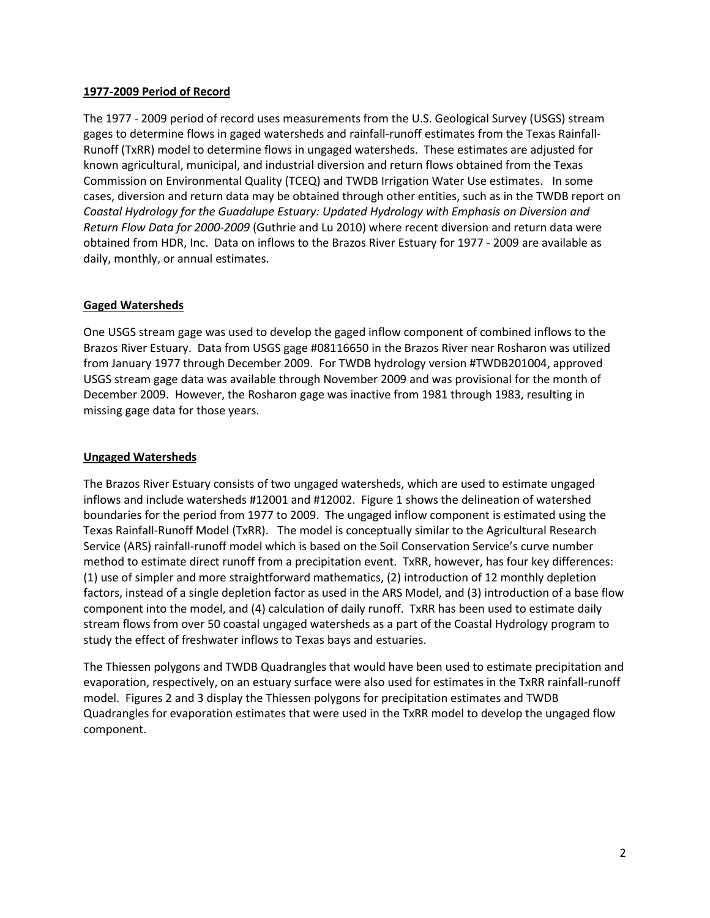## **1977-2009 Period of Record**

The 1977 - 2009 period of record uses measurements from the U.S. Geological Survey (USGS) stream gages to determine flows in gaged watersheds and rainfall-runoff estimates from the Texas Rainfall-Runoff (TxRR) model to determine flows in ungaged watersheds. These estimates are adjusted for known agricultural, municipal, and industrial diversion and return flows obtained from the Texas Commission on Environmental Quality (TCEQ) and TWDB Irrigation Water Use estimates. In some cases, diversion and return data may be obtained through other entities, such as in the TWDB report on *Coastal Hydrology for the Guadalupe Estuary: Updated Hydrology with Emphasis on Diversion and Return Flow Data for 2000-2009* (Guthrie and Lu 2010) where recent diversion and return data were obtained from HDR, Inc. Data on inflows to the Brazos River Estuary for 1977 - 2009 are available as daily, monthly, or annual estimates.

# **Gaged Watersheds**

One USGS stream gage was used to develop the gaged inflow component of combined inflows to the Brazos River Estuary. Data from USGS gage #08116650 in the Brazos River near Rosharon was utilized from January 1977 through December 2009. For TWDB hydrology version #TWDB201004, approved USGS stream gage data was available through November 2009 and was provisional for the month of December 2009. However, the Rosharon gage was inactive from 1981 through 1983, resulting in missing gage data for those years.

## **Ungaged Watersheds**

The Brazos River Estuary consists of two ungaged watersheds, which are used to estimate ungaged inflows and include watersheds #12001 and #12002. Figure 1 shows the delineation of watershed boundaries for the period from 1977 to 2009. The ungaged inflow component is estimated using the Texas Rainfall-Runoff Model (TxRR). The model is conceptually similar to the Agricultural Research Service (ARS) rainfall-runoff model which is based on the Soil Conservation Service's curve number method to estimate direct runoff from a precipitation event. TxRR, however, has four key differences: (1) use of simpler and more straightforward mathematics, (2) introduction of 12 monthly depletion factors, instead of a single depletion factor as used in the ARS Model, and (3) introduction of a base flow component into the model, and (4) calculation of daily runoff. TxRR has been used to estimate daily stream flows from over 50 coastal ungaged watersheds as a part of the Coastal Hydrology program to study the effect of freshwater inflows to Texas bays and estuaries.

The Thiessen polygons and TWDB Quadrangles that would have been used to estimate precipitation and evaporation, respectively, on an estuary surface were also used for estimates in the TxRR rainfall-runoff model. Figures 2 and 3 display the Thiessen polygons for precipitation estimates and TWDB Quadrangles for evaporation estimates that were used in the TxRR model to develop the ungaged flow component.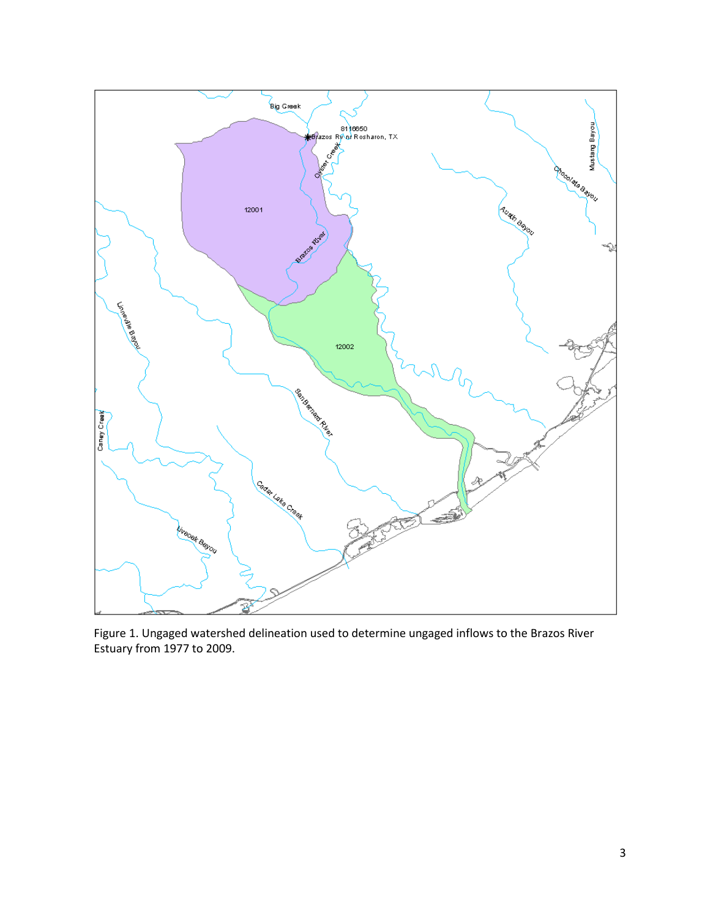

Figure 1. Ungaged watershed delineation used to determine ungaged inflows to the Brazos River Estuary from 1977 to 2009.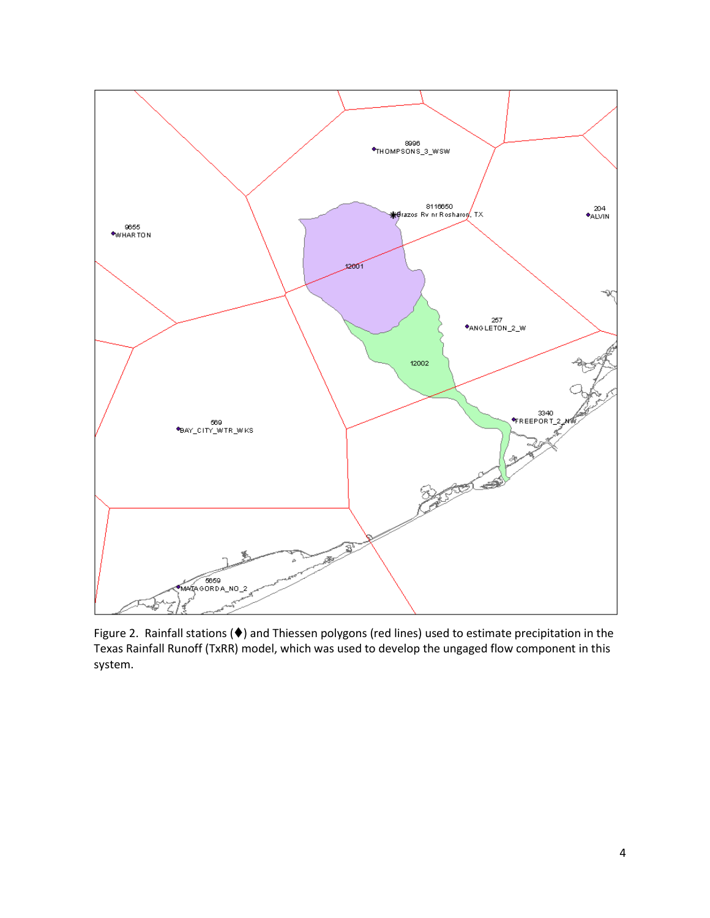

Figure 2. Rainfall stations ( $\blacklozenge$ ) and Thiessen polygons (red lines) used to estimate precipitation in the Texas Rainfall Runoff (TxRR) model, which was used to develop the ungaged flow component in this system.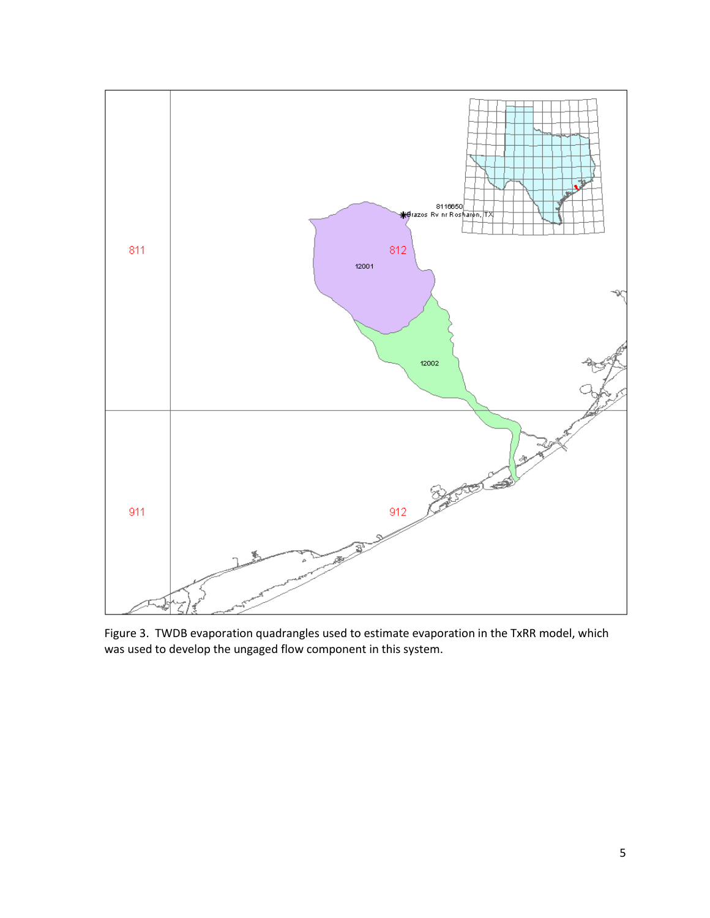

Figure 3. TWDB evaporation quadrangles used to estimate evaporation in the TxRR model, which was used to develop the ungaged flow component in this system.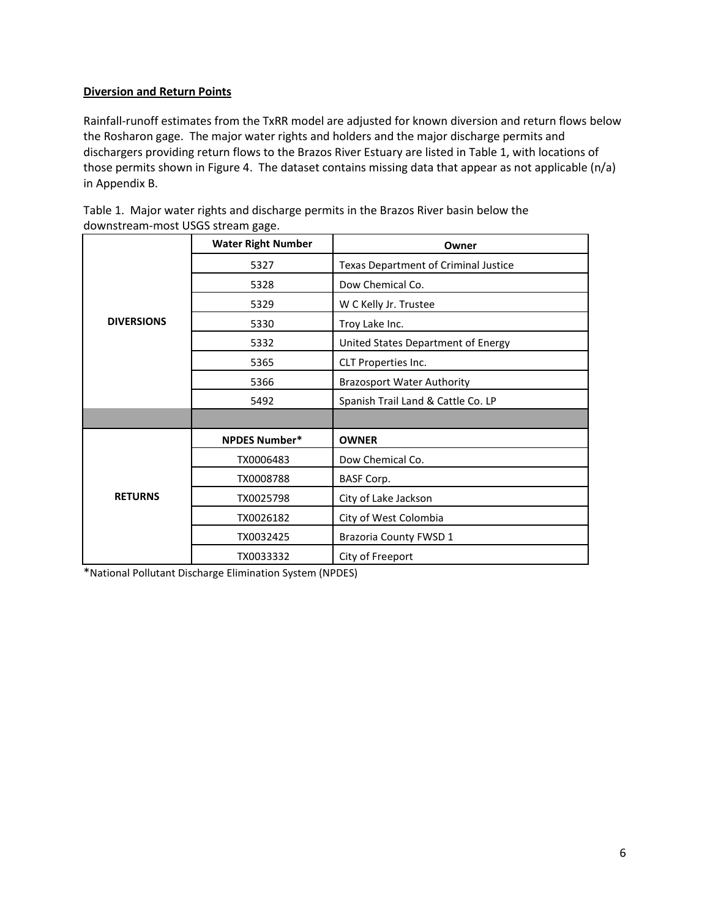# **Diversion and Return Points**

Rainfall-runoff estimates from the TxRR model are adjusted for known diversion and return flows below the Rosharon gage. The major water rights and holders and the major discharge permits and dischargers providing return flows to the Brazos River Estuary are listed in Table 1, with locations of those permits shown in Figure 4. The dataset contains missing data that appear as not applicable (n/a) in Appendix B.

|                   | <b>Water Right Number</b> | Owner                                |  |  |  |  |
|-------------------|---------------------------|--------------------------------------|--|--|--|--|
|                   | 5327                      | Texas Department of Criminal Justice |  |  |  |  |
|                   | 5328                      | Dow Chemical Co.                     |  |  |  |  |
|                   | 5329                      | W C Kelly Jr. Trustee                |  |  |  |  |
| <b>DIVERSIONS</b> | 5330                      | Troy Lake Inc.                       |  |  |  |  |
|                   | 5332                      | United States Department of Energy   |  |  |  |  |
|                   | 5365                      | CLT Properties Inc.                  |  |  |  |  |
|                   | 5366                      | <b>Brazosport Water Authority</b>    |  |  |  |  |
|                   | 5492                      | Spanish Trail Land & Cattle Co. LP   |  |  |  |  |
|                   |                           |                                      |  |  |  |  |
|                   | <b>NPDES Number*</b>      | <b>OWNER</b>                         |  |  |  |  |
|                   | TX0006483                 | Dow Chemical Co.                     |  |  |  |  |
|                   | TX0008788                 | <b>BASF Corp.</b>                    |  |  |  |  |
| <b>RETURNS</b>    | TX0025798                 | City of Lake Jackson                 |  |  |  |  |
|                   | TX0026182                 | City of West Colombia                |  |  |  |  |
|                   | TX0032425                 | <b>Brazoria County FWSD 1</b>        |  |  |  |  |
|                   | TX0033332                 | City of Freeport                     |  |  |  |  |

Table 1. Major water rights and discharge permits in the Brazos River basin below the downstream-most USGS stream gage.

\*National Pollutant Discharge Elimination System (NPDES)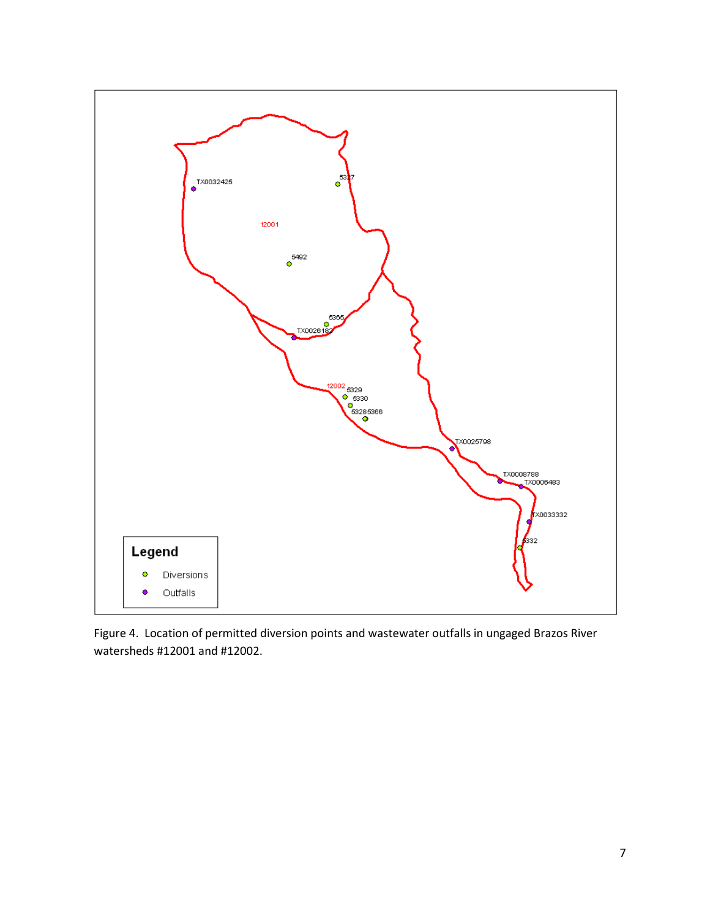

Figure 4. Location of permitted diversion points and wastewater outfalls in ungaged Brazos River watersheds #12001 and #12002.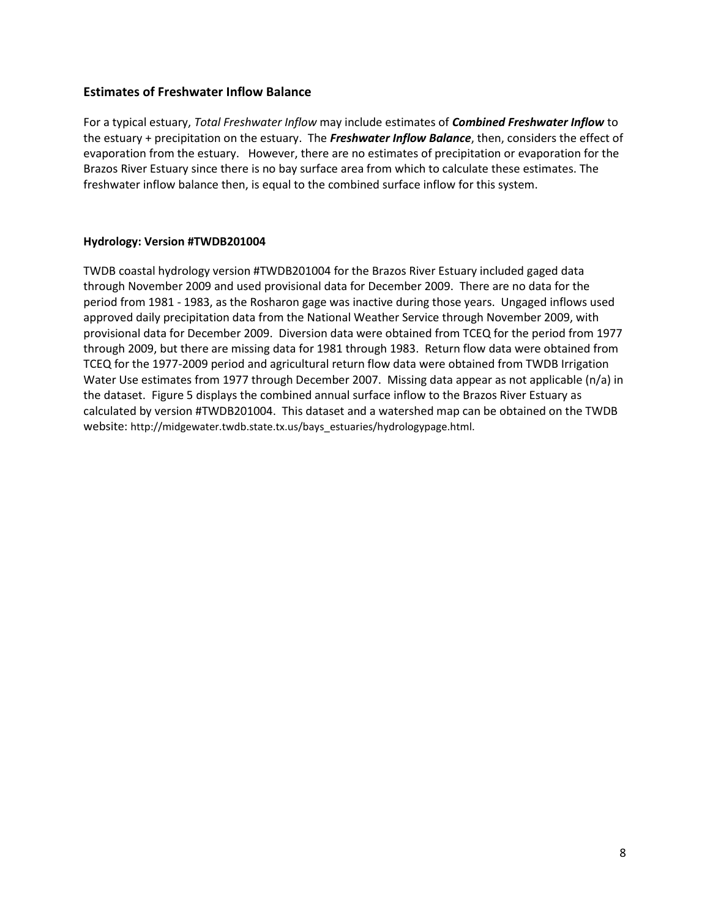## **Estimates of Freshwater Inflow Balance**

For a typical estuary, *Total Freshwater Inflow* may include estimates of *Combined Freshwater Inflow* to the estuary + precipitation on the estuary. The *Freshwater Inflow Balance*, then, considers the effect of evaporation from the estuary. However, there are no estimates of precipitation or evaporation for the Brazos River Estuary since there is no bay surface area from which to calculate these estimates. The freshwater inflow balance then, is equal to the combined surface inflow for this system.

## **Hydrology: Version #TWDB201004**

TWDB coastal hydrology version #TWDB201004 for the Brazos River Estuary included gaged data through November 2009 and used provisional data for December 2009. There are no data for the period from 1981 - 1983, as the Rosharon gage was inactive during those years. Ungaged inflows used approved daily precipitation data from the National Weather Service through November 2009, with provisional data for December 2009. Diversion data were obtained from TCEQ for the period from 1977 through 2009, but there are missing data for 1981 through 1983. Return flow data were obtained from TCEQ for the 1977-2009 period and agricultural return flow data were obtained from TWDB Irrigation Water Use estimates from 1977 through December 2007. Missing data appear as not applicable (n/a) in the dataset. Figure 5 displays the combined annual surface inflow to the Brazos River Estuary as calculated by version #TWDB201004. This dataset and a watershed map can be obtained on the TWDB website: http://midgewater.twdb.state.tx.us/bays\_estuaries/hydrologypage.html.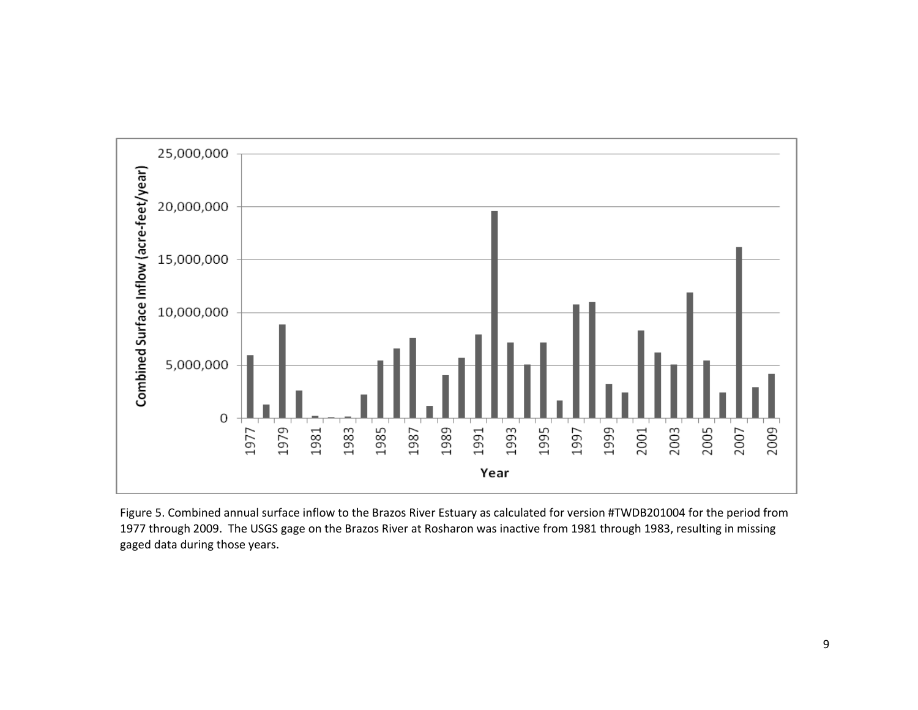

Figure 5. Combined annual surface inflow to the Brazos River Estuary as calculated for version #TWDB201004 for the period from 1977 through 2009. The USGS gage on the Brazos River at Rosharon was inactive from 1981 through 1983, resulting in missing gaged data during those years.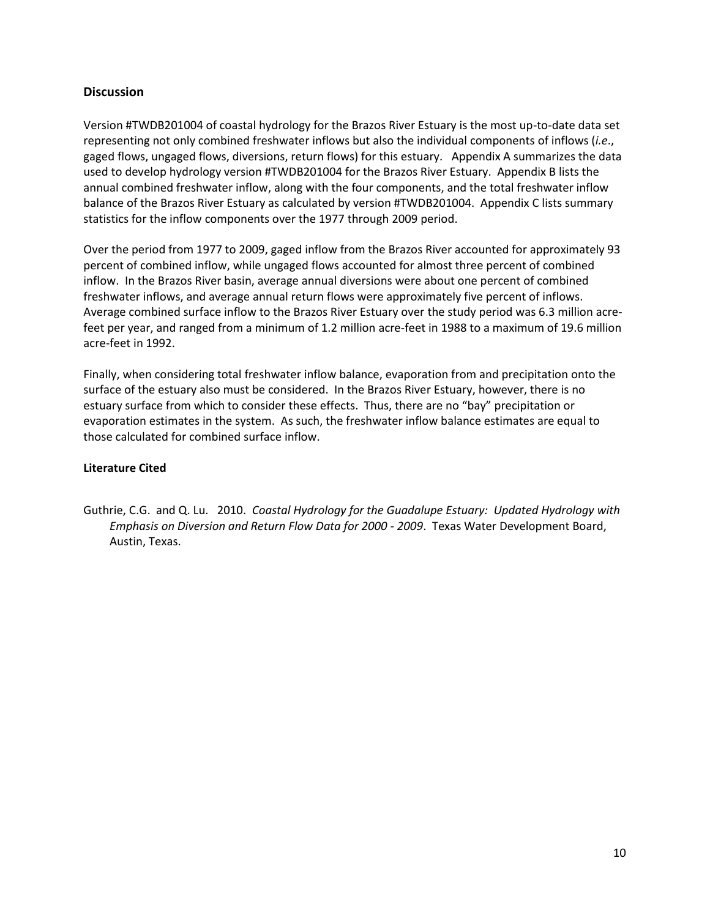# **Discussion**

Version #TWDB201004 of coastal hydrology for the Brazos River Estuary is the most up-to-date data set representing not only combined freshwater inflows but also the individual components of inflows (*i.e*., gaged flows, ungaged flows, diversions, return flows) for this estuary.Appendix A summarizes the data used to develop hydrology version #TWDB201004 for the Brazos River Estuary. Appendix B lists the annual combined freshwater inflow, along with the four components, and the total freshwater inflow balance of the Brazos River Estuary as calculated by version #TWDB201004. Appendix C lists summary statistics for the inflow components over the 1977 through 2009 period.

Over the period from 1977 to 2009, gaged inflow from the Brazos River accounted for approximately 93 percent of combined inflow, while ungaged flows accounted for almost three percent of combined inflow. In the Brazos River basin, average annual diversions were about one percent of combined freshwater inflows, and average annual return flows were approximately five percent of inflows. Average combined surface inflow to the Brazos River Estuary over the study period was 6.3 million acrefeet per year, and ranged from a minimum of 1.2 million acre-feet in 1988 to a maximum of 19.6 million acre-feet in 1992.

Finally, when considering total freshwater inflow balance, evaporation from and precipitation onto the surface of the estuary also must be considered. In the Brazos River Estuary, however, there is no estuary surface from which to consider these effects. Thus, there are no "bay" precipitation or evaporation estimates in the system. As such, the freshwater inflow balance estimates are equal to those calculated for combined surface inflow.

### **Literature Cited**

Guthrie, C.G. and Q. Lu. 2010. *Coastal Hydrology for the Guadalupe Estuary: Updated Hydrology with Emphasis on Diversion and Return Flow Data for 2000 - 2009*. Texas Water Development Board, Austin, Texas.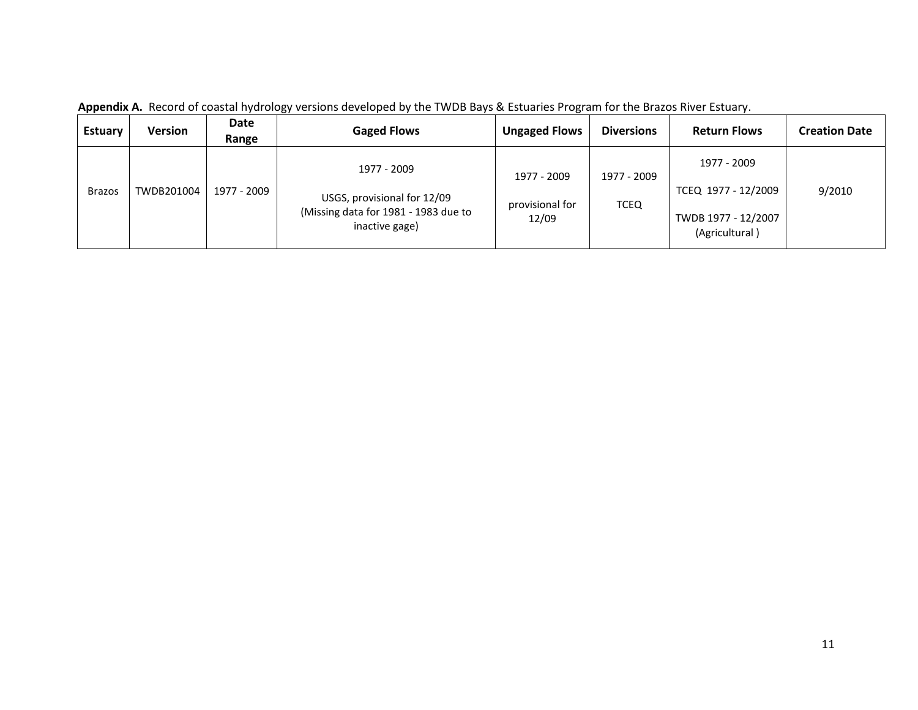| <b>Estuary</b> | Version    | Date<br>Range | <b>Gaged Flows</b>                                                                                   | <b>Ungaged Flows</b>                    | <b>Diversions</b>          | <b>Return Flows</b>                                                         | <b>Creation Date</b> |
|----------------|------------|---------------|------------------------------------------------------------------------------------------------------|-----------------------------------------|----------------------------|-----------------------------------------------------------------------------|----------------------|
| <b>Brazos</b>  | TWDB201004 | 1977 - 2009   | 1977 - 2009<br>USGS, provisional for 12/09<br>(Missing data for 1981 - 1983 due to<br>inactive gage) | 1977 - 2009<br>provisional for<br>12/09 | 1977 - 2009<br><b>TCEQ</b> | 1977 - 2009<br>TCEQ 1977 - 12/2009<br>TWDB 1977 - 12/2007<br>(Agricultural) | 9/2010               |

**Appendix A.** Record of coastal hydrology versions developed by the TWDB Bays & Estuaries Program for the Brazos River Estuary.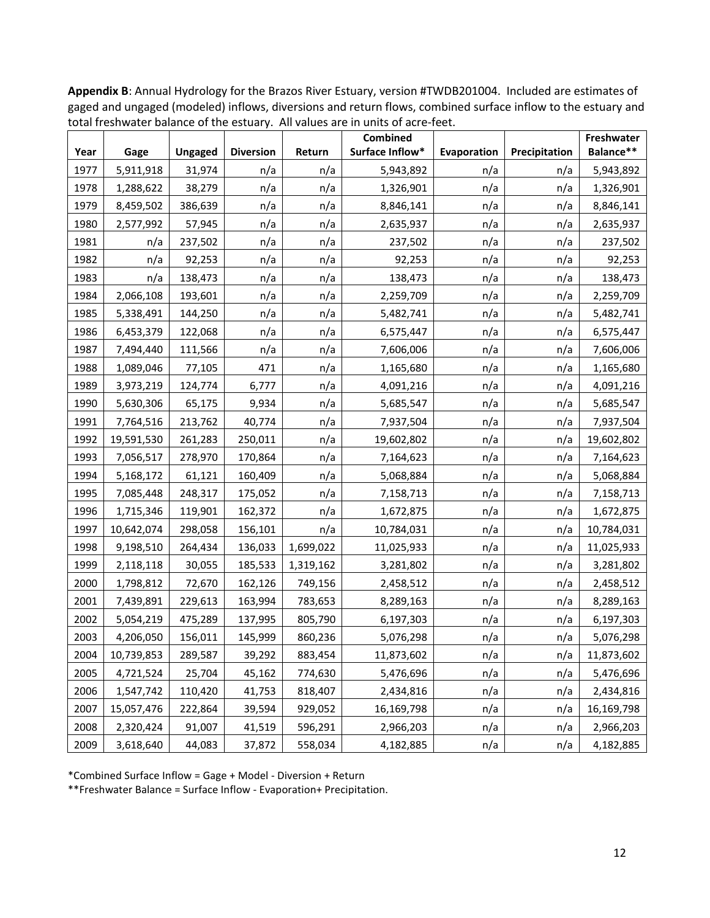|      |            |                |                  |           | Combined        |             |               | Freshwater |
|------|------------|----------------|------------------|-----------|-----------------|-------------|---------------|------------|
| Year | Gage       | <b>Ungaged</b> | <b>Diversion</b> | Return    | Surface Inflow* | Evaporation | Precipitation | Balance**  |
| 1977 | 5,911,918  | 31,974         | n/a              | n/a       | 5,943,892       | n/a         | n/a           | 5,943,892  |
| 1978 | 1,288,622  | 38,279         | n/a              | n/a       | 1,326,901       | n/a         | n/a           | 1,326,901  |
| 1979 | 8,459,502  | 386,639        | n/a              | n/a       | 8,846,141       | n/a         | n/a           | 8,846,141  |
| 1980 | 2,577,992  | 57,945         | n/a              | n/a       | 2,635,937       | n/a         | n/a           | 2,635,937  |
| 1981 | n/a        | 237,502        | n/a              | n/a       | 237,502         | n/a         | n/a           | 237,502    |
| 1982 | n/a        | 92,253         | n/a              | n/a       | 92,253          | n/a         | n/a           | 92,253     |
| 1983 | n/a        | 138,473        | n/a              | n/a       | 138,473         | n/a         | n/a           | 138,473    |
| 1984 | 2,066,108  | 193,601        | n/a              | n/a       | 2,259,709       | n/a         | n/a           | 2,259,709  |
| 1985 | 5,338,491  | 144,250        | n/a              | n/a       | 5,482,741       | n/a         | n/a           | 5,482,741  |
| 1986 | 6,453,379  | 122,068        | n/a              | n/a       | 6,575,447       | n/a         | n/a           | 6,575,447  |
| 1987 | 7,494,440  | 111,566        | n/a              | n/a       | 7,606,006       | n/a         | n/a           | 7,606,006  |
| 1988 | 1,089,046  | 77,105         | 471              | n/a       | 1,165,680       | n/a         | n/a           | 1,165,680  |
| 1989 | 3,973,219  | 124,774        | 6,777            | n/a       | 4,091,216       | n/a         | n/a           | 4,091,216  |
| 1990 | 5,630,306  | 65,175         | 9,934            | n/a       | 5,685,547       | n/a         | n/a           | 5,685,547  |
| 1991 | 7,764,516  | 213,762        | 40,774           | n/a       | 7,937,504       | n/a         | n/a           | 7,937,504  |
| 1992 | 19,591,530 | 261,283        | 250,011          | n/a       | 19,602,802      | n/a         | n/a           | 19,602,802 |
| 1993 | 7,056,517  | 278,970        | 170,864          | n/a       | 7,164,623       | n/a         | n/a           | 7,164,623  |
| 1994 | 5,168,172  | 61,121         | 160,409          | n/a       | 5,068,884       | n/a         | n/a           | 5,068,884  |
| 1995 | 7,085,448  | 248,317        | 175,052          | n/a       | 7,158,713       | n/a         | n/a           | 7,158,713  |
| 1996 | 1,715,346  | 119,901        | 162,372          | n/a       | 1,672,875       | n/a         | n/a           | 1,672,875  |
| 1997 | 10,642,074 | 298,058        | 156,101          | n/a       | 10,784,031      | n/a         | n/a           | 10,784,031 |
| 1998 | 9,198,510  | 264,434        | 136,033          | 1,699,022 | 11,025,933      | n/a         | n/a           | 11,025,933 |
| 1999 | 2,118,118  | 30,055         | 185,533          | 1,319,162 | 3,281,802       | n/a         | n/a           | 3,281,802  |
| 2000 | 1,798,812  | 72,670         | 162,126          | 749,156   | 2,458,512       | n/a         | n/a           | 2,458,512  |
| 2001 | 7,439,891  | 229,613        | 163,994          | 783,653   | 8,289,163       | n/a         | n/a           | 8,289,163  |
| 2002 | 5,054,219  | 475,289        | 137,995          | 805,790   | 6,197,303       | n/a         | n/a           | 6,197,303  |
| 2003 | 4,206,050  | 156,011        | 145,999          | 860,236   | 5,076,298       | n/a         | n/a           | 5,076,298  |
| 2004 | 10,739,853 | 289,587        | 39,292           | 883,454   | 11,873,602      | n/a         | n/a           | 11,873,602 |
| 2005 | 4,721,524  | 25,704         | 45,162           | 774,630   | 5,476,696       | n/a         | n/a           | 5,476,696  |
| 2006 | 1,547,742  | 110,420        | 41,753           | 818,407   | 2,434,816       | n/a         | n/a           | 2,434,816  |
| 2007 | 15,057,476 | 222,864        | 39,594           | 929,052   | 16,169,798      | n/a         | n/a           | 16,169,798 |
| 2008 | 2,320,424  | 91,007         | 41,519           | 596,291   | 2,966,203       | n/a         | n/a           | 2,966,203  |
| 2009 | 3,618,640  | 44,083         | 37,872           | 558,034   | 4,182,885       | n/a         | n/a           | 4,182,885  |

**Appendix B**: Annual Hydrology for the Brazos River Estuary, version #TWDB201004. Included are estimates of gaged and ungaged (modeled) inflows, diversions and return flows, combined surface inflow to the estuary and total freshwater balance of the estuary. All values are in units of acre-feet.

\*Combined Surface Inflow = Gage + Model - Diversion + Return

\*\*Freshwater Balance = Surface Inflow - Evaporation+ Precipitation.